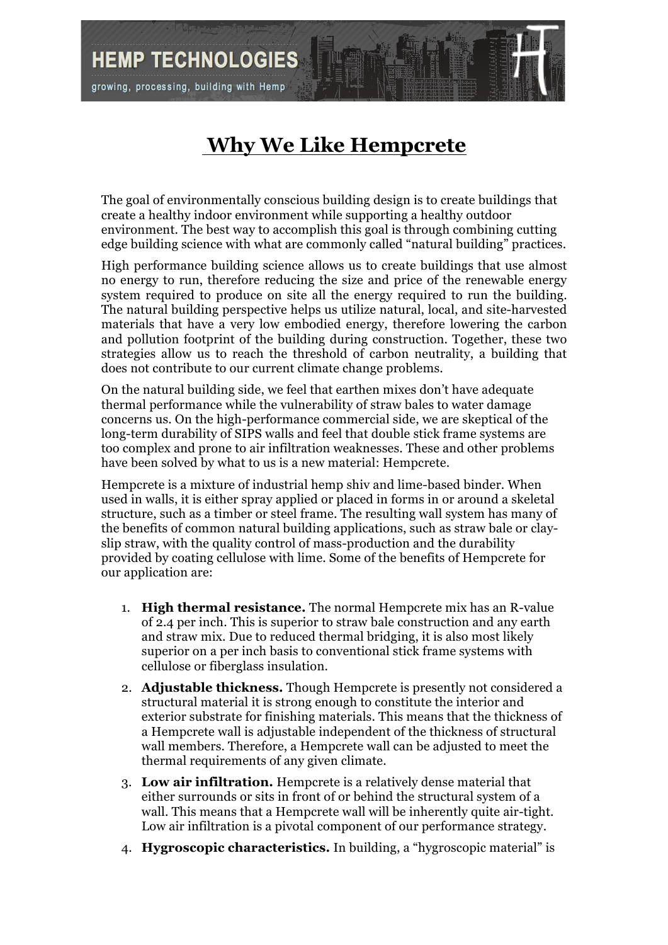**HEMP TECHNOLOGIES** 

growing, processing, building with Hemp

## **Why We Like Hempcrete**

The goal of environmentally conscious building design is to create buildings that create a healthy indoor environment while supporting a healthy outdoor environment. The best way to accomplish this goal is through combining cutting edge building science with what are commonly called "natural building" practices.

High performance building science allows us to create buildings that use almost no energy to run, therefore reducing the size and price of the renewable energy system required to produce on site all the energy required to run the building. The natural building perspective helps us utilize natural, local, and site-harvested materials that have a very low embodied energy, therefore lowering the carbon and pollution footprint of the building during construction. Together, these two strategies allow us to reach the threshold of carbon neutrality, a building that does not contribute to our current climate change problems.

On the natural building side, we feel that earthen mixes don't have adequate thermal performance while the vulnerability of straw bales to water damage concerns us. On the high-performance commercial side, we are skeptical of the long-term durability of SIPS walls and feel that double stick frame systems are too complex and prone to air infiltration weaknesses. These and other problems have been solved by what to us is a new material: Hempcrete.

Hempcrete is a mixture of industrial hemp shiv and lime-based binder. When used in walls, it is either spray applied or placed in forms in or around a skeletal structure, such as a timber or steel frame. The resulting wall system has many of the benefits of common natural building applications, such as straw bale or clayslip straw, with the quality control of mass-production and the durability provided by coating cellulose with lime. Some of the benefits of Hempcrete for our application are:

- 1. **High thermal resistance.** The normal Hempcrete mix has an R-value of 2.4 per inch. This is superior to straw bale construction and any earth and straw mix. Due to reduced thermal bridging, it is also most likely superior on a per inch basis to conventional stick frame systems with cellulose or fiberglass insulation.
- 2. **Adjustable thickness.** Though Hempcrete is presently not considered a structural material it is strong enough to constitute the interior and exterior substrate for finishing materials. This means that the thickness of a Hempcrete wall is adjustable independent of the thickness of structural wall members. Therefore, a Hempcrete wall can be adjusted to meet the thermal requirements of any given climate.
- 3. **Low air infiltration.** Hempcrete is a relatively dense material that either surrounds or sits in front of or behind the structural system of a wall. This means that a Hempcrete wall will be inherently quite air-tight. Low air infiltration is a pivotal component of our performance strategy.
- 4. **Hygroscopic characteristics.** In building, a "hygroscopic material" is